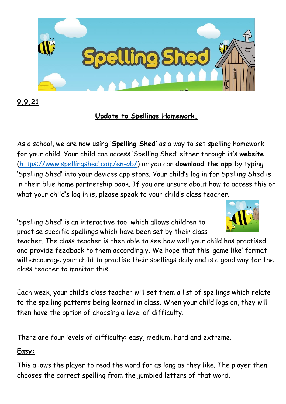

**9.9.21**

## **Update to Spellings Homework.**

As a school, we are now using **'Spelling Shed'** as a way to set spelling homework for your child. Your child can access 'Spelling Shed' either through it's **website** [\(https://www.spellingshed.com/en-gb/\)](https://www.spellingshed.com/en-gb/) or you can **download the app** by typing 'Spelling Shed' into your devices app store. Your child's log in for Spelling Shed is in their blue home partnership book. If you are unsure about how to access this or what your child's log in is, please speak to your child's class teacher.

'Spelling Shed' is an interactive tool which allows children to practise specific spellings which have been set by their class



teacher. The class teacher is then able to see how well your child has practised and provide feedback to them accordingly. We hope that this 'game like' format will encourage your child to practise their spellings daily and is a good way for the class teacher to monitor this.

Each week, your child's class teacher will set them a list of spellings which relate to the spelling patterns being learned in class. When your child logs on, they will then have the option of choosing a level of difficulty.

There are four levels of difficulty: easy, medium, hard and extreme.

## **Easy:**

This allows the player to read the word for as long as they like. The player then chooses the correct spelling from the jumbled letters of that word.